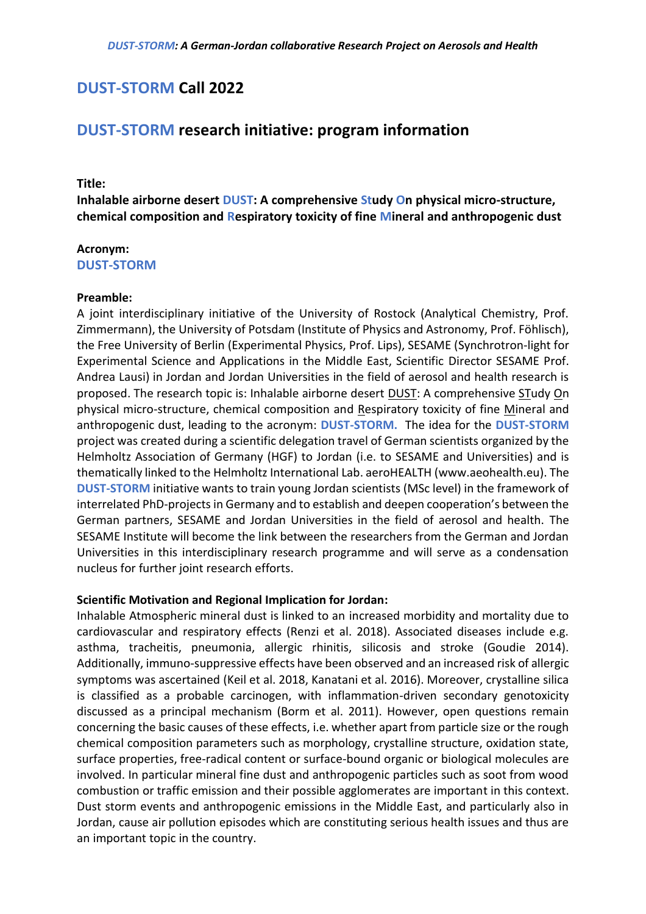## **DUST-STORM Call 2022**

# **DUST-STORM research initiative: program information**

## **Title:**

**Inhalable airborne desert DUST: A comprehensive Study On physical micro-structure, chemical composition and Respiratory toxicity of fine Mineral and anthropogenic dust**

### **Acronym:**

**DUST-STORM**

#### **Preamble:**

A joint interdisciplinary initiative of the University of Rostock (Analytical Chemistry, Prof. Zimmermann), the University of Potsdam (Institute of Physics and Astronomy, Prof. Föhlisch), the Free University of Berlin (Experimental Physics, Prof. Lips), SESAME (Synchrotron-light for Experimental Science and Applications in the Middle East, Scientific Director SESAME Prof. Andrea Lausi) in Jordan and Jordan Universities in the field of aerosol and health research is proposed. The research topic is: Inhalable airborne desert DUST: A comprehensive STudy On physical micro-structure, chemical composition and Respiratory toxicity of fine Mineral and anthropogenic dust, leading to the acronym: **DUST-STORM.** The idea for the **DUST-STORM** project was created during a scientific delegation travel of German scientists organized by the Helmholtz Association of Germany (HGF) to Jordan (i.e. to SESAME and Universities) and is thematically linked to the Helmholtz International Lab. aeroHEALTH (www.aeohealth.eu). The **DUST-STORM** initiative wants to train young Jordan scientists (MSc level) in the framework of interrelated PhD-projects in Germany and to establish and deepen cooperation's between the German partners, SESAME and Jordan Universities in the field of aerosol and health. The SESAME Institute will become the link between the researchers from the German and Jordan Universities in this interdisciplinary research programme and will serve as a condensation nucleus for further joint research efforts.

## **Scientific Motivation and Regional Implication for Jordan:**

Inhalable Atmospheric mineral dust is linked to an increased morbidity and mortality due to cardiovascular and respiratory effects (Renzi et al. 2018). Associated diseases include e.g. asthma, tracheitis, pneumonia, allergic rhinitis, silicosis and stroke (Goudie 2014). Additionally, immuno-suppressive effects have been observed and an increased risk of allergic symptoms was ascertained (Keil et al. 2018, Kanatani et al. 2016). Moreover, crystalline silica is classified as a probable carcinogen, with inflammation-driven secondary genotoxicity discussed as a principal mechanism (Borm et al. 2011). However, open questions remain concerning the basic causes of these effects, i.e. whether apart from particle size or the rough chemical composition parameters such as morphology, crystalline structure, oxidation state, surface properties, free-radical content or surface-bound organic or biological molecules are involved. In particular mineral fine dust and anthropogenic particles such as soot from wood combustion or traffic emission and their possible agglomerates are important in this context. Dust storm events and anthropogenic emissions in the Middle East, and particularly also in Jordan, cause air pollution episodes which are constituting serious health issues and thus are an important topic in the country.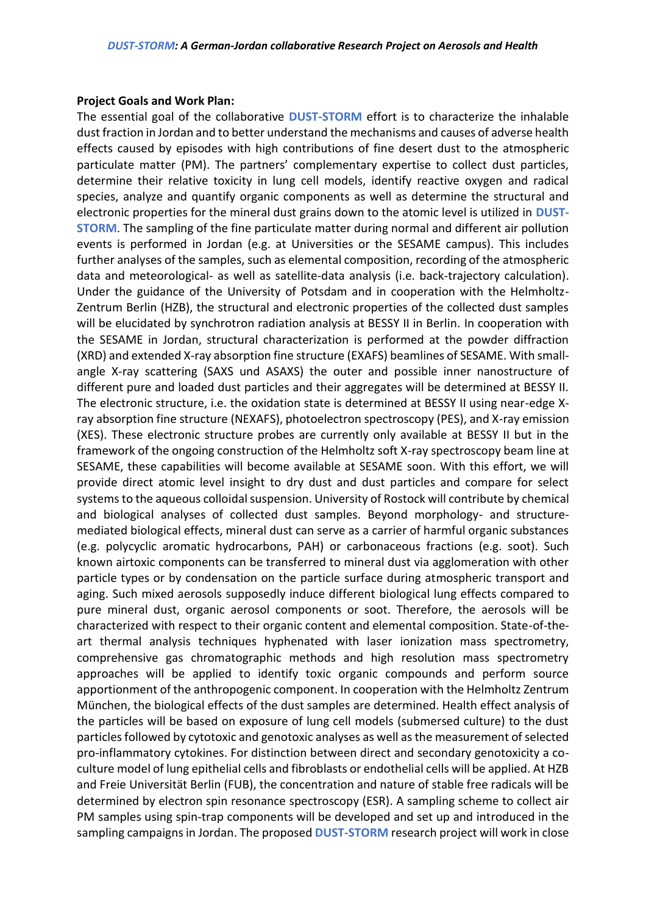#### **Project Goals and Work Plan:**

The essential goal of the collaborative **DUST-STORM** effort is to characterize the inhalable dust fraction in Jordan and to better understand the mechanisms and causes of adverse health effects caused by episodes with high contributions of fine desert dust to the atmospheric particulate matter (PM). The partners' complementary expertise to collect dust particles, determine their relative toxicity in lung cell models, identify reactive oxygen and radical species, analyze and quantify organic components as well as determine the structural and electronic properties for the mineral dust grains down to the atomic level is utilized in **DUST-STORM**. The sampling of the fine particulate matter during normal and different air pollution events is performed in Jordan (e.g. at Universities or the SESAME campus). This includes further analyses of the samples, such as elemental composition, recording of the atmospheric data and meteorological- as well as satellite-data analysis (i.e. back-trajectory calculation). Under the guidance of the University of Potsdam and in cooperation with the Helmholtz-Zentrum Berlin (HZB), the structural and electronic properties of the collected dust samples will be elucidated by synchrotron radiation analysis at BESSY II in Berlin. In cooperation with the SESAME in Jordan, structural characterization is performed at the powder diffraction (XRD) and extended X-ray absorption fine structure (EXAFS) beamlines of SESAME. With smallangle X-ray scattering (SAXS und ASAXS) the outer and possible inner nanostructure of different pure and loaded dust particles and their aggregates will be determined at BESSY II. The electronic structure, i.e. the oxidation state is determined at BESSY II using near-edge Xray absorption fine structure (NEXAFS), photoelectron spectroscopy (PES), and X-ray emission (XES). These electronic structure probes are currently only available at BESSY II but in the framework of the ongoing construction of the Helmholtz soft X-ray spectroscopy beam line at SESAME, these capabilities will become available at SESAME soon. With this effort, we will provide direct atomic level insight to dry dust and dust particles and compare for select systems to the aqueous colloidal suspension. University of Rostock will contribute by chemical and biological analyses of collected dust samples. Beyond morphology- and structuremediated biological effects, mineral dust can serve as a carrier of harmful organic substances (e.g. polycyclic aromatic hydrocarbons, PAH) or carbonaceous fractions (e.g. soot). Such known airtoxic components can be transferred to mineral dust via agglomeration with other particle types or by condensation on the particle surface during atmospheric transport and aging. Such mixed aerosols supposedly induce different biological lung effects compared to pure mineral dust, organic aerosol components or soot. Therefore, the aerosols will be characterized with respect to their organic content and elemental composition. State-of-theart thermal analysis techniques hyphenated with laser ionization mass spectrometry, comprehensive gas chromatographic methods and high resolution mass spectrometry approaches will be applied to identify toxic organic compounds and perform source apportionment of the anthropogenic component. In cooperation with the Helmholtz Zentrum München, the biological effects of the dust samples are determined. Health effect analysis of the particles will be based on exposure of lung cell models (submersed culture) to the dust particles followed by cytotoxic and genotoxic analyses as well as the measurement of selected pro-inflammatory cytokines. For distinction between direct and secondary genotoxicity a coculture model of lung epithelial cells and fibroblasts or endothelial cells will be applied. At HZB and Freie Universität Berlin (FUB), the concentration and nature of stable free radicals will be determined by electron spin resonance spectroscopy (ESR). A sampling scheme to collect air PM samples using spin-trap components will be developed and set up and introduced in the sampling campaigns in Jordan. The proposed **DUST-STORM** research project will work in close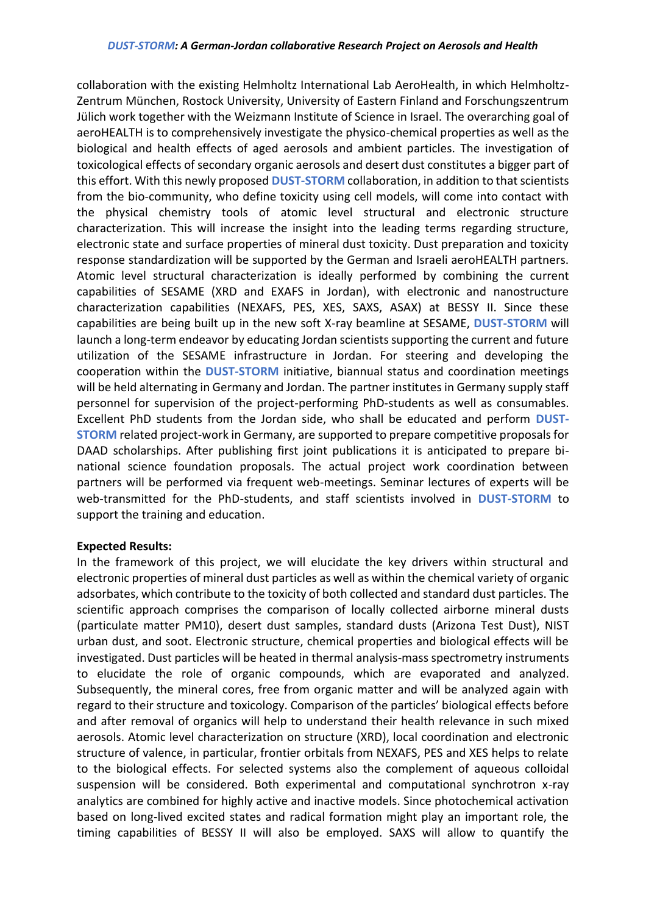collaboration with the existing Helmholtz International Lab AeroHealth, in which Helmholtz-Zentrum München, Rostock University, University of Eastern Finland and Forschungszentrum Jülich work together with the Weizmann Institute of Science in Israel. The overarching goal of aeroHEALTH is to comprehensively investigate the physico-chemical properties as well as the biological and health effects of aged aerosols and ambient particles. The investigation of toxicological effects of secondary organic aerosols and desert dust constitutes a bigger part of this effort. With this newly proposed **DUST-STORM** collaboration, in addition to that scientists from the bio-community, who define toxicity using cell models, will come into contact with the physical chemistry tools of atomic level structural and electronic structure characterization. This will increase the insight into the leading terms regarding structure, electronic state and surface properties of mineral dust toxicity. Dust preparation and toxicity response standardization will be supported by the German and Israeli aeroHEALTH partners. Atomic level structural characterization is ideally performed by combining the current capabilities of SESAME (XRD and EXAFS in Jordan), with electronic and nanostructure characterization capabilities (NEXAFS, PES, XES, SAXS, ASAX) at BESSY II. Since these capabilities are being built up in the new soft X-ray beamline at SESAME, **DUST-STORM** will launch a long-term endeavor by educating Jordan scientists supporting the current and future utilization of the SESAME infrastructure in Jordan. For steering and developing the cooperation within the **DUST-STORM** initiative, biannual status and coordination meetings will be held alternating in Germany and Jordan. The partner institutes in Germany supply staff personnel for supervision of the project-performing PhD-students as well as consumables. Excellent PhD students from the Jordan side, who shall be educated and perform **DUST-STORM** related project-work in Germany, are supported to prepare competitive proposals for DAAD scholarships. After publishing first joint publications it is anticipated to prepare binational science foundation proposals. The actual project work coordination between partners will be performed via frequent web-meetings. Seminar lectures of experts will be web-transmitted for the PhD-students, and staff scientists involved in **DUST-STORM** to support the training and education.

## **Expected Results:**

In the framework of this project, we will elucidate the key drivers within structural and electronic properties of mineral dust particles as well as within the chemical variety of organic adsorbates, which contribute to the toxicity of both collected and standard dust particles. The scientific approach comprises the comparison of locally collected airborne mineral dusts (particulate matter PM10), desert dust samples, standard dusts (Arizona Test Dust), NIST urban dust, and soot. Electronic structure, chemical properties and biological effects will be investigated. Dust particles will be heated in thermal analysis-mass spectrometry instruments to elucidate the role of organic compounds, which are evaporated and analyzed. Subsequently, the mineral cores, free from organic matter and will be analyzed again with regard to their structure and toxicology. Comparison of the particles' biological effects before and after removal of organics will help to understand their health relevance in such mixed aerosols. Atomic level characterization on structure (XRD), local coordination and electronic structure of valence, in particular, frontier orbitals from NEXAFS, PES and XES helps to relate to the biological effects. For selected systems also the complement of aqueous colloidal suspension will be considered. Both experimental and computational synchrotron x-ray analytics are combined for highly active and inactive models. Since photochemical activation based on long-lived excited states and radical formation might play an important role, the timing capabilities of BESSY II will also be employed. SAXS will allow to quantify the